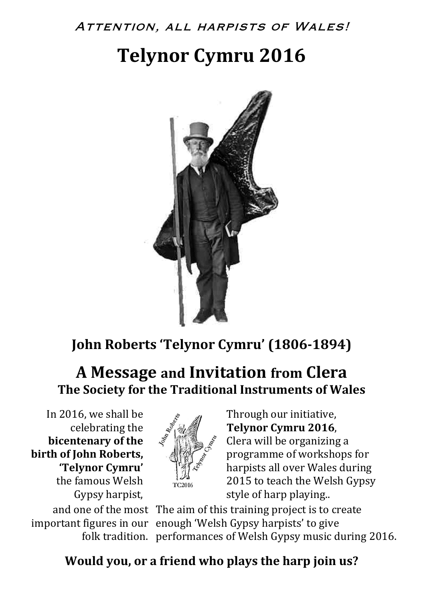# Attention, all harpists of Wales! **Telynor Cymru 2016**



### **John Roberts 'Telynor Cymru' (1806-1894)**

#### **A Message and Invitation from****Clera The Society for the Traditional Instruments of Wales**

In 2016, we shall be celebrating the **bicentenary of the birth of John Roberts, 'Telynor Cymru'** the famous Welsh Gypsy harpist,



Through our initiative, **Telynor Cymru 2016**, Clera will be organizing a programme of workshops for harpists all over Wales during 2015 to teach the Welsh Gypsy style of harp playing..

and one of the most The aim of this training project is to create important figures in our enough 'Welsh Gypsy harpists' to give folk tradition. performances of Welsh Gypsy music during 2016.

#### **Would you, or a friend who plays the harp join us?**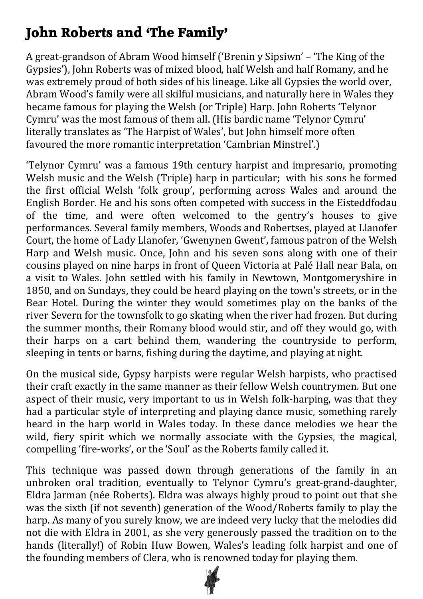# **John Roberts and 'The Family'**

A great-grandson of Abram Wood himself ('Brenin y Sipsiwn' – 'The King of the Gypsies'), John Roberts was of mixed blood, half Welsh and half Romany, and he was extremely proud of both sides of his lineage. Like all Gypsies the world over, Abram Wood's family were all skilful musicians, and naturally here in Wales they became famous for playing the Welsh (or Triple) Harp. John Roberts 'Telynor Cymru' was the most famous of them all. (His bardic name 'Telynor Cymru' literally translates as 'The Harpist of Wales', but John himself more often favoured the more romantic interpretation 'Cambrian Minstrel'.)

'Telynor Cymru' was a famous 19th century harpist and impresario, promoting Welsh music and the Welsh (Triple) harp in particular; with his sons he formed the first official Welsh 'folk group', performing across Wales and around the English Border. He and his sons often competed with success in the Eisteddfodau of the time, and were often welcomed to the gentry's houses to give performances. Several family members, Woods and Robertses, played at Llanofer Court, the home of Lady Llanofer, 'Gwenynen Gwent', famous patron of the Welsh Harp and Welsh music. Once, John and his seven sons along with one of their cousins played on nine harps in front of Queen Victoria at Palé Hall near Bala, on a visit to Wales. John settled with his family in Newtown, Montgomeryshire in 1850, and on Sundays, they could be heard playing on the town's streets, or in the Bear Hotel. During the winter they would sometimes play on the banks of the river Severn for the townsfolk to go skating when the river had frozen. But during the summer months, their Romany blood would stir, and off they would go, with their harps on a cart behind them, wandering the countryside to perform, sleeping in tents or barns, fishing during the daytime, and playing at night.

On the musical side, Gypsy harpists were regular Welsh harpists, who practised their craft exactly in the same manner as their fellow Welsh countrymen. But one aspect of their music, very important to us in Welsh folk-harping, was that they had a particular style of interpreting and playing dance music, something rarely heard in the harp world in Wales today. In these dance melodies we hear the wild, fiery spirit which we normally associate with the Gypsies, the magical, compelling 'fire-works', or the 'Soul' as the Roberts family called it.

This technique was passed down through generations of the family in an unbroken oral tradition, eventually to Telynor Cymru's great-grand-daughter, Eldra Jarman (née Roberts). Eldra was always highly proud to point out that she was the sixth (if not seventh) generation of the Wood/Roberts family to play the harp. As many of you surely know, we are indeed very lucky that the melodies did not die with Eldra in 2001, as she very generously passed the tradition on to the hands (literally!) of Robin Huw Bowen, Wales's leading folk harpist and one of the founding members of Clera, who is renowned today for playing them.

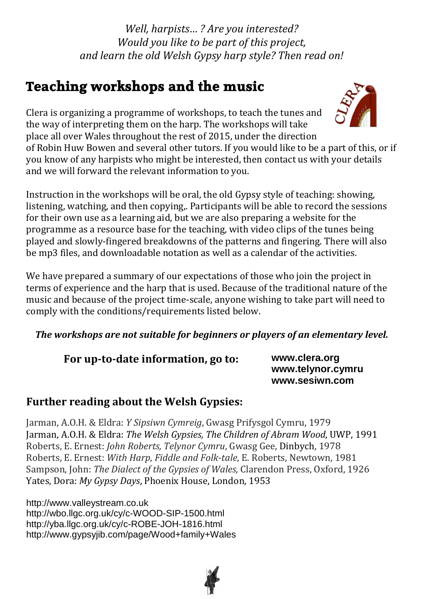*Well, harpists… ? Are you interested? Would you like to be part of this project, and learn the old Welsh Gypsy harp style? Then read on!* 

### **Teaching workshops and the music**

Clera is organizing a programme of workshops, to teach the tunes and the way of interpreting them on the harp. The workshops will take place all over Wales throughout the rest of 2015, under the direction



of Robin Huw Bowen and several other tutors. If you would like to be a part of this, or if you know of any harpists who might be interested, then contact us with your details and we will forward the relevant information to you.

Instruction in the workshops will be oral, the old Gypsy style of teaching: showing, listening, watching, and then copying,. Participants will be able to record the sessions for their own use as a learning aid, but we are also preparing a website for the programme as a resource base for the teaching, with video clips of the tunes being played and slowly-fingered breakdowns of the patterns and fingering. There will also be mp3 files, and downloadable notation as well as a calendar of the activities.

We have prepared a summary of our expectations of those who join the project in terms of experience and the harp that is used. Because of the traditional nature of the music and because of the project time-scale, anyone wishing to take part will need to comply with the conditions/requirements listed below.

*The workshops are not suitable for beginners or players of an elementary level.* 

**For up-to-date information, go to: www.clera.org** 

**www.telynor.cymru www.sesiwn.com** 

#### **Further reading about the Welsh Gypsies:**

Jarman, A.O.H. & Eldra: *Y Sipsiwn Cymreig*, Gwasg Prifysgol Cymru, 1979 Jarman, A.O.H. & Eldra: *The Welsh Gypsies, The Children of Abram Wood*, UWP, 1991 Roberts, E. Ernest: *John Roberts, Telynor Cymru*, Gwasg Gee, Dinbych, 1978 Roberts, E. Ernest: *With Harp, Fiddle and Folk-tale*, E. Roberts, Newtown, 1981 Sampson, John: *The Dialect of the Gypsies of Wales,* Clarendon Press, Oxford, 1926 Yates, Dora: *My Gypsy Days*, Phoenix House, London, 1953

http://www.valleystream.co.uk http://wbo.llgc.org.uk/cy/c-WOOD-SIP-1500.html http://yba.llgc.org.uk/cy/c-ROBE-JOH-1816.html http://www.gypsyjib.com/page/Wood+family+Wales